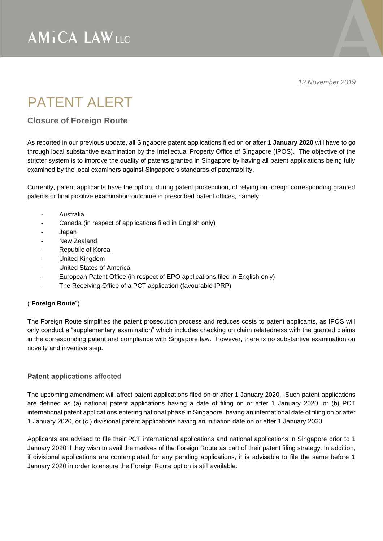*12 November 2019*

## PATENT AI FRT

### **Closure of Foreign Route**

As reported in our previous update, all Singapore patent applications filed on or after **1 January 2020** will have to go through local substantive examination by the Intellectual Property Office of Singapore (IPOS). The objective of the stricter system is to improve the quality of patents granted in Singapore by having all patent applications being fully examined by the local examiners against Singapore's standards of patentability.

Currently, patent applicants have the option, during patent prosecution, of relying on foreign corresponding granted patents or final positive examination outcome in prescribed patent offices, namely:

- **Australia**
- Canada (in respect of applications filed in English only)
- Japan
- New Zealand
- Republic of Korea
- United Kingdom
- United States of America
- European Patent Office (in respect of EPO applications filed in English only)
- The Receiving Office of a PCT application (favourable IPRP)

#### ("**Foreign Route**")

The Foreign Route simplifies the patent prosecution process and reduces costs to patent applicants, as IPOS will only conduct a "supplementary examination" which includes checking on claim relatedness with the granted claims in the corresponding patent and compliance with Singapore law. However, there is no substantive examination on novelty and inventive step.

#### **Patent applications affected**

The upcoming amendment will affect patent applications filed on or after 1 January 2020. Such patent applications are defined as (a) national patent applications having a date of filing on or after 1 January 2020, or (b) PCT international patent applications entering national phase in Singapore, having an international date of filing on or after 1 January 2020, or (c ) divisional patent applications having an initiation date on or after 1 January 2020.

Applicants are advised to file their PCT international applications and national applications in Singapore prior to 1 January 2020 if they wish to avail themselves of the Foreign Route as part of their patent filing strategy. In addition, if divisional applications are contemplated for any pending applications, it is advisable to file the same before 1 January 2020 in order to ensure the Foreign Route option is still available.